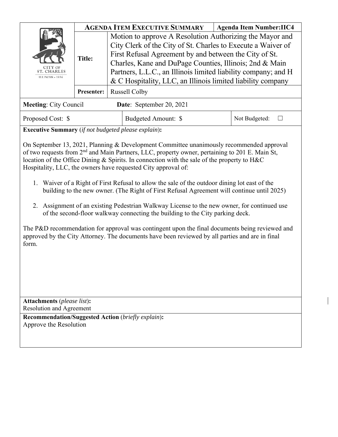| CITY OF<br><b>ST. CHARLES</b><br><b>ILLINOIS</b> + 1834 | <b>AGENDA ITEM EXECUTIVE SUMMARY</b> |                                                                                                                                                                                                                                                                                                                                                                                |                          |  | <b>Agenda Item Number:IIC4</b> |
|---------------------------------------------------------|--------------------------------------|--------------------------------------------------------------------------------------------------------------------------------------------------------------------------------------------------------------------------------------------------------------------------------------------------------------------------------------------------------------------------------|--------------------------|--|--------------------------------|
|                                                         | <b>Title:</b>                        | Motion to approve A Resolution Authorizing the Mayor and<br>City Clerk of the City of St. Charles to Execute a Waiver of<br>First Refusal Agreement by and between the City of St.<br>Charles, Kane and DuPage Counties, Illinois; 2nd & Main<br>Partners, L.L.C., an Illinois limited liability company; and H<br>& C Hospitality, LLC, an Illinois limited liability company |                          |  |                                |
|                                                         | <b>Presenter:</b>                    | <b>Russell Colby</b>                                                                                                                                                                                                                                                                                                                                                           |                          |  |                                |
| <b>Meeting: City Council</b>                            |                                      |                                                                                                                                                                                                                                                                                                                                                                                | Date: September 20, 2021 |  |                                |
| Proposed Cost: \$                                       |                                      |                                                                                                                                                                                                                                                                                                                                                                                | Budgeted Amount: \$      |  | Not Budgeted:                  |

**Executive Summary** (*if not budgeted please explain*)**:** 

On September 13, 2021, Planning & Development Committee unanimously recommended approval of two requests from 2nd and Main Partners, LLC, property owner, pertaining to 201 E. Main St, location of the Office Dining & Spirits. In connection with the sale of the property to H&C Hospitality, LLC, the owners have requested City approval of:

- 1. Waiver of a Right of First Refusal to allow the sale of the outdoor dining lot east of the building to the new owner. (The Right of First Refusal Agreement will continue until 2025)
- 2. Assignment of an existing Pedestrian Walkway License to the new owner, for continued use of the second-floor walkway connecting the building to the City parking deck.

The P&D recommendation for approval was contingent upon the final documents being reviewed and approved by the City Attorney. The documents have been reviewed by all parties and are in final form.

**Attachments** (*please list*)**:**  Resolution and Agreement

**Recommendation/Suggested Action** (*briefly explain*)**:**  Approve the Resolution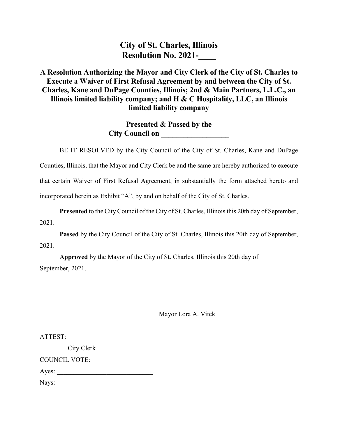**City of St. Charles, Illinois Resolution No. 2021-**

# **A Resolution Authorizing the Mayor and City Clerk of the City of St. Charles to Execute a Waiver of First Refusal Agreement by and between the City of St. Charles, Kane and DuPage Counties, Illinois; 2nd & Main Partners, L.L.C., an Illinois limited liability company; and H & C Hospitality, LLC, an Illinois limited liability company**

**Presented & Passed by the City Council on** 

BE IT RESOLVED by the City Council of the City of St. Charles, Kane and DuPage Counties, Illinois, that the Mayor and City Clerk be and the same are hereby authorized to execute that certain Waiver of First Refusal Agreement, in substantially the form attached hereto and incorporated herein as Exhibit "A", by and on behalf of the City of St. Charles.

**Presented** to the City Council of the City of St. Charles, Illinois this 20th day of September, 2021.

**Passed** by the City Council of the City of St. Charles, Illinois this 20th day of September, 2021.

**Approved** by the Mayor of the City of St. Charles, Illinois this 20th day of September, 2021.

 $\mathcal{L}_\text{max}$  and  $\mathcal{L}_\text{max}$  and  $\mathcal{L}_\text{max}$  and  $\mathcal{L}_\text{max}$  and  $\mathcal{L}_\text{max}$  and  $\mathcal{L}_\text{max}$ 

Mayor Lora A. Vitek

ATTEST:

City Clerk

COUNCIL VOTE:

Ayes:

Nays: \_\_\_\_\_\_\_\_\_\_\_\_\_\_\_\_\_\_\_\_\_\_\_\_\_\_\_\_\_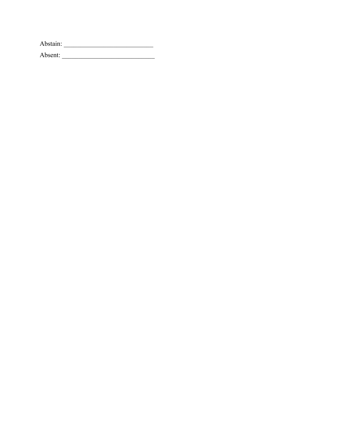Absent: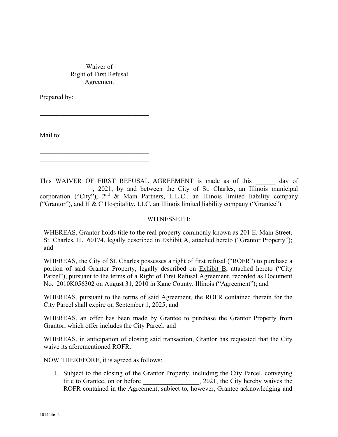# Waiver of Right of First Refusal Agreement

Prepared by:

Mail to:

This WAIVER OF FIRST REFUSAL AGREEMENT is made as of this day of \_\_\_\_\_\_\_\_\_\_\_\_\_\_\_\_, 2021, by and between the City of St. Charles, an Illinois municipal corporation ("City"),  $2<sup>nd</sup>$  & Main Partners, L.L.C., an Illinois limited liability company ("Grantor"), and H & C Hospitality, LLC, an Illinois limited liability company ("Grantee").

### WITNESSETH:

WHEREAS, Grantor holds title to the real property commonly known as 201 E. Main Street, St. Charles, IL 60174, legally described in Exhibit A, attached hereto ("Grantor Property"); and

WHEREAS, the City of St. Charles possesses a right of first refusal ("ROFR") to purchase a portion of said Grantor Property, legally described on Exhibit B, attached hereto ("City Parcel"), pursuant to the terms of a Right of First Refusal Agreement, recorded as Document No. 2010K056302 on August 31, 2010 in Kane County, Illinois ("Agreement"); and

WHEREAS, pursuant to the terms of said Agreement, the ROFR contained therein for the City Parcel shall expire on September 1, 2025; and

WHEREAS, an offer has been made by Grantee to purchase the Grantor Property from Grantor, which offer includes the City Parcel; and

WHEREAS, in anticipation of closing said transaction, Grantor has requested that the City waive its aforementioned ROFR.

NOW THEREFORE, it is agreed as follows:

1. Subject to the closing of the Grantor Property, including the City Parcel, conveying title to Grantee, on or before \_\_\_\_\_\_\_\_\_\_\_\_\_\_\_\_\_, 2021, the City hereby waives the ROFR contained in the Agreement, subject to, however, Grantee acknowledging and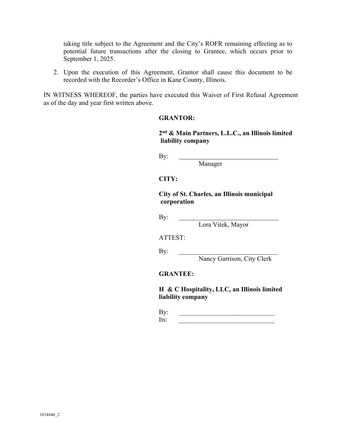taking title subject to the Agreement and the City's ROFR remaining effecting as to potential future transactions after the closing to Grantee, which occurs prior to September 1, 2025.

2. Upon the execution of this Agreement, Grantor shall cause this document to be recorded with the Recorder's Office in Kane County, Illinois.

IN WITNESS WHEREOF, the parties have executed this Waiver of First Refusal Agreement as of the day and year first written above.

#### **GRANTOR:**

**2nd & Main Partners, L.L.C., an Illinois limited liability company**

By:

Manager

## **CITY:**

**City of St. Charles, an Illinois municipal corporation**

By:

Lora Vitek, Mayor

ATTEST:

 $\mathbf{By:}$ 

Nancy Garrison, City Clerk

**GRANTEE:** 

 **H & C Hospitality, LLC, an Illinois limited liability company**

 $\mathbf{By:}$  $Its:$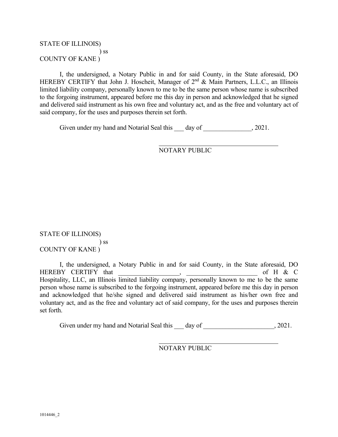# STATE OF ILLINOIS) ) ss COUNTY OF KANE )

 I, the undersigned, a Notary Public in and for said County, in the State aforesaid, DO HEREBY CERTIFY that John J. Hoscheit, Manager of 2<sup>nd</sup> & Main Partners, L.L.C., an Illinois limited liability company, personally known to me to be the same person whose name is subscribed to the forgoing instrument, appeared before me this day in person and acknowledged that he signed and delivered said instrument as his own free and voluntary act, and as the free and voluntary act of said company, for the uses and purposes therein set forth.

Given under my hand and Notarial Seal this day of  $\qquad \qquad .2021.$ 

NOTARY PUBLIC

STATE OF ILLINOIS) ) ss COUNTY OF KANE )

 I, the undersigned, a Notary Public in and for said County, in the State aforesaid, DO HEREBY CERTIFY that \_\_\_\_\_\_\_\_\_\_\_\_\_\_\_\_\_\_\_, \_\_\_\_\_\_\_\_\_\_\_\_\_\_\_\_\_\_\_\_\_\_ of H & C Hospitality, LLC, an Illinois limited liability company, personally known to me to be the same person whose name is subscribed to the forgoing instrument, appeared before me this day in person and acknowledged that he/she signed and delivered said instrument as his/her own free and voluntary act, and as the free and voluntary act of said company, for the uses and purposes therein set forth.

Given under my hand and Notarial Seal this \_\_\_ day of \_\_\_\_\_\_\_\_\_\_\_\_\_\_\_\_\_\_\_, 2021.

NOTARY PUBLIC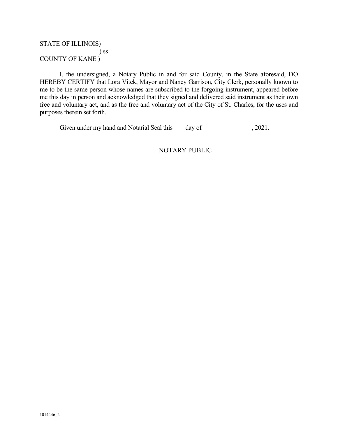# STATE OF ILLINOIS) ) ss COUNTY OF KANE )

 I, the undersigned, a Notary Public in and for said County, in the State aforesaid, DO HEREBY CERTIFY that Lora Vitek, Mayor and Nancy Garrison, City Clerk, personally known to me to be the same person whose names are subscribed to the forgoing instrument, appeared before me this day in person and acknowledged that they signed and delivered said instrument as their own free and voluntary act, and as the free and voluntary act of the City of St. Charles, for the uses and purposes therein set forth.

Given under my hand and Notarial Seal this day of  $\qquad \qquad$ , 2021.

NOTARY PUBLIC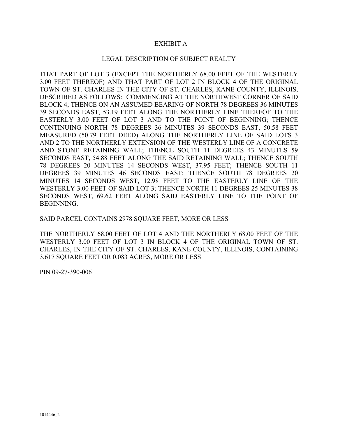## EXHIBIT A

#### LEGAL DESCRIPTION OF SUBJECT REALTY

THAT PART OF LOT 3 (EXCEPT THE NORTHERLY 68.00 FEET OF THE WESTERLY 3.00 FEET THEREOF) AND THAT PART OF LOT 2 IN BLOCK 4 OF THE ORIGINAL TOWN OF ST. CHARLES IN THE CITY OF ST. CHARLES, KANE COUNTY, ILLINOIS, DESCRIBED AS FOLLOWS: COMMENCING AT THE NORTHWEST CORNER OF SAID BLOCK 4; THENCE ON AN ASSUMED BEARING OF NORTH 78 DEGREES 36 MINUTES 39 SECONDS EAST, 53.19 FEET ALONG THE NORTHERLY LINE THEREOF TO THE EASTERLY 3.00 FEET OF LOT 3 AND TO THE POINT OF BEGINNING; THENCE CONTINUING NORTH 78 DEGREES 36 MINUTES 39 SECONDS EAST, 50.58 FEET MEASURED (50.79 FEET DEED) ALONG THE NORTHERLY LINE OF SAID LOTS 3 AND 2 TO THE NORTHERLY EXTENSION OF THE WESTERLY LINE OF A CONCRETE AND STONE RETAINING WALL; THENCE SOUTH 11 DEGREES 43 MINUTES 59 SECONDS EAST, 54.88 FEET ALONG THE SAID RETAINING WALL; THENCE SOUTH 78 DEGREES 20 MINUTES 14 SECONDS WEST, 37.95 FEET; THENCE SOUTH 11 DEGREES 39 MINUTES 46 SECONDS EAST; THENCE SOUTH 78 DEGREES 20 MINUTES 14 SECONDS WEST, 12.98 FEET TO THE EASTERLY LINE OF THE WESTERLY 3.00 FEET OF SAID LOT 3; THENCE NORTH 11 DEGREES 25 MINUTES 38 SECONDS WEST, 69.62 FEET ALONG SAID EASTERLY LINE TO THE POINT OF BEGINNING.

SAID PARCEL CONTAINS 2978 SQUARE FEET, MORE OR LESS

THE NORTHERLY 68.00 FEET OF LOT 4 AND THE NORTHERLY 68.00 FEET OF THE WESTERLY 3.00 FEET OF LOT 3 IN BLOCK 4 OF THE ORIGINAL TOWN OF ST. CHARLES, IN THE CITY OF ST. CHARLES, KANE COUNTY, ILLINOIS, CONTAINING 3,617 SQUARE FEET OR 0.083 ACRES, MORE OR LESS

PIN 09-27-390-006